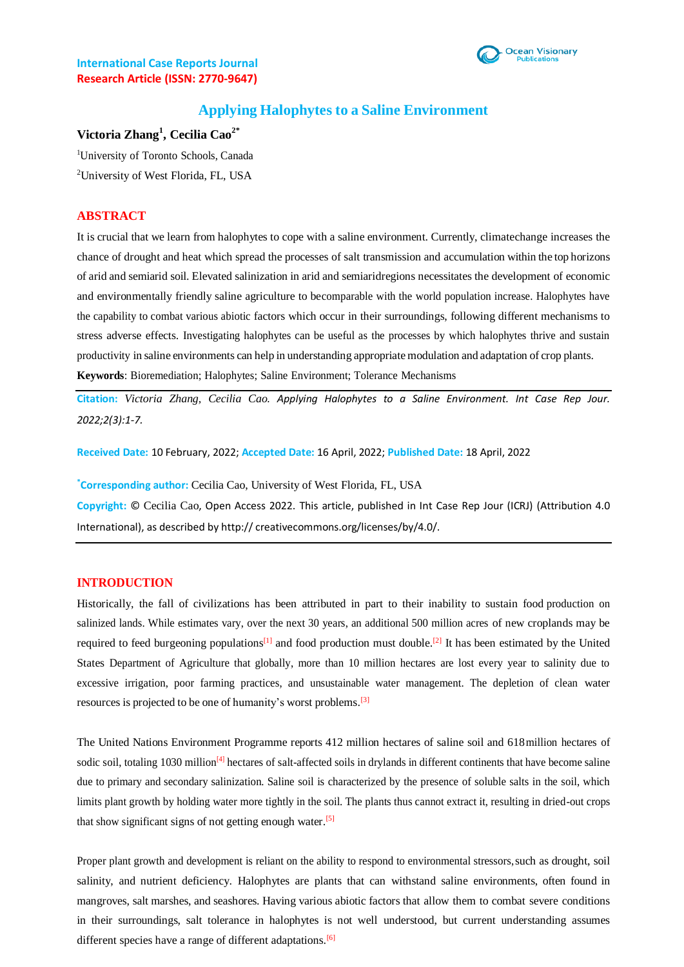

# **Applying Halophytes to a Saline Environment**

# **Victoria Zhang<sup>1</sup> , Cecilia Cao2\***

<sup>1</sup>University of Toronto Schools, Canada <sup>2</sup>University of West Florida, FL, USA

## **ABSTRACT**

It is crucial that we learn from halophytes to cope with a saline environment. Currently, climatechange increases the chance of drought and heat which spread the processes of salt transmission and accumulation within the top horizons of arid and semiarid soil. Elevated salinization in arid and semiaridregions necessitates the development of economic and environmentally friendly saline agriculture to becomparable with the world population increase. Halophytes have the capability to combat various abiotic factors which occur in their surroundings, following different mechanisms to stress adverse effects. Investigating halophytes can be useful as the processes by which halophytes thrive and sustain productivity in saline environments can help in understanding appropriate modulation and adaptation of crop plants. **Keywords**: Bioremediation; Halophytes; Saline Environment; Tolerance Mechanisms

**Citation:** *Victoria Zhang, Cecilia Cao. Applying Halophytes to a Saline Environment. Int Case Rep Jour. 2022;2(3):1-7.*

**Received Date:** 10 February, 2022; **Accepted Date:** 16 April, 2022; **Published Date:** 18 April, 2022

**\*Corresponding author:** Cecilia Cao, University of West Florida, FL, USA

**Copyright:** © Cecilia Cao, Open Access 2022. This article, published in Int Case Rep Jour (ICRJ) (Attribution 4.0 International), as described by http:// creativecommons.org/licenses/by/4.0/.

### **INTRODUCTION**

Historically, the fall of civilizations has been attributed in part to their inability to sustain food production on salinized lands. While estimates vary, over the next 30 years, an additional 500 million acres of new croplands may be required to feed burgeoning populations<sup>[1]</sup> and food production must double.<sup>[2]</sup> It has been estimated by the United States Department of Agriculture that globally, more than 10 million hectares are lost every year to salinity due to excessive irrigation, poor farming practices, and unsustainable water management. The depletion of clean water resources is projected to be one of humanity's worst problems.<sup>[3]</sup>

The United Nations Environment Programme reports 412 million hectares of saline soil and 618million hectares of sodic soil, totaling 1030 million<sup>[4]</sup> hectares of salt-affected soils in drylands in different continents that have become saline due to primary and secondary salinization. Saline soil is characterized by the presence of soluble salts in the soil, which limits plant growth by holding water more tightly in the soil. The plants thus cannot extract it, resulting in dried-out crops that show significant signs of not getting enough water.<sup>[5]</sup>

Proper plant growth and development is reliant on the ability to respond to environmental stressors,such as drought, soil salinity, and nutrient deficiency. Halophytes are plants that can withstand saline environments, often found in mangroves, salt marshes, and seashores. Having various abiotic factors that allow them to combat severe conditions in their surroundings, salt tolerance in halophytes is not well understood, but current understanding assumes different species have a range of different adaptations.<sup>[6]</sup>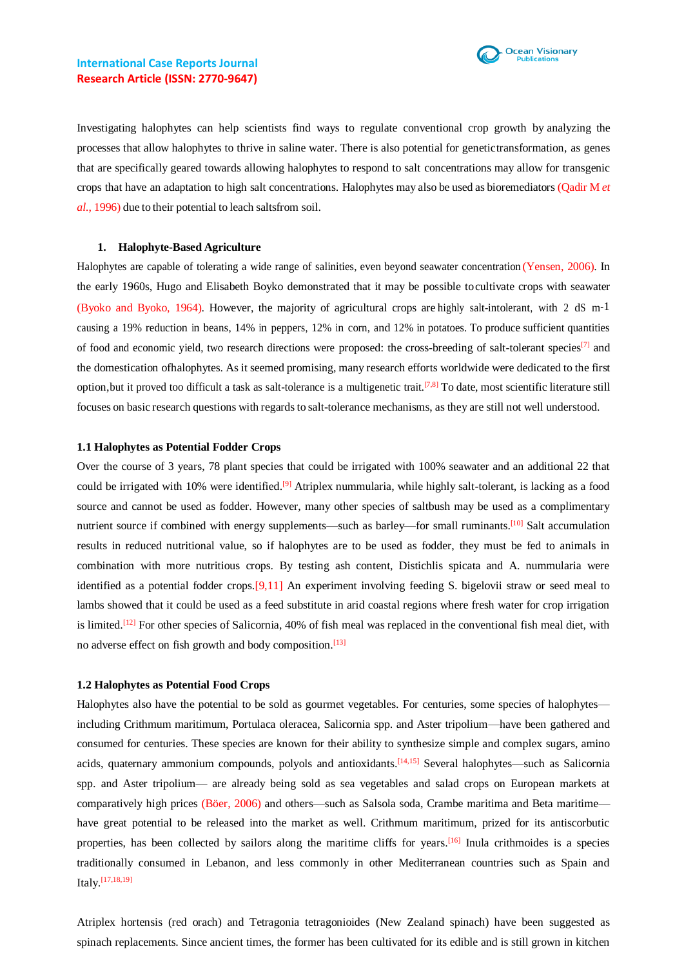Investigating halophytes can help scientists find ways to regulate conventional crop growth by analyzing the processes that allow halophytes to thrive in saline water. There is also potential for genetictransformation, as genes that are specifically geared towards allowing halophytes to respond to salt concentrations may allow for transgenic crops that have an adaptation to high salt concentrations. Halophytes may also be used as bioremediators (Qadir M *et al.*, 1996) due to their potential to leach saltsfrom soil.

#### **1. Halophyte-Based Agriculture**

Halophytes are capable of tolerating a wide range of salinities, even beyond seawater concentration (Yensen, 2006). In the early 1960s, Hugo and Elisabeth Boyko demonstrated that it may be possible tocultivate crops with seawater (Byoko and Byoko, 1964). However, the majority of agricultural crops are highly salt-intolerant, with 2 dS m-1 causing a 19% reduction in beans, 14% in peppers, 12% in corn, and 12% in potatoes. To produce sufficient quantities of food and economic vield, two research directions were proposed: the cross-breeding of salt-tolerant species<sup>[7]</sup> and the domestication ofhalophytes. As it seemed promising, many research efforts worldwide were dedicated to the first option, but it proved too difficult a task as salt-tolerance is a multigenetic trait.<sup>[7,8]</sup> To date, most scientific literature still focuses on basic research questions with regards to salt-tolerance mechanisms, as they are still not well understood.

### **1.1 Halophytes as Potential Fodder Crops**

Over the course of 3 years, 78 plant species that could be irrigated with 100% seawater and an additional 22 that could be irrigated with 10% were identified.<sup>[9]</sup> Atriplex nummularia, while highly salt-tolerant, is lacking as a food source and cannot be used as fodder. However, many other species of saltbush may be used as a complimentary nutrient source if combined with energy supplements—such as barley—for small ruminants.<sup>[10]</sup> Salt accumulation results in reduced nutritional value, so if halophytes are to be used as fodder, they must be fed to animals in combination with more nutritious crops. By testing ash content, Distichlis spicata and A. nummularia were identified as a potential fodder crops.[9,11] An experiment involving feeding S. bigelovii straw or seed meal to lambs showed that it could be used as a feed substitute in arid coastal regions where fresh water for crop irrigation is limited.<sup>[12]</sup> For other species of Salicornia, 40% of fish meal was replaced in the conventional fish meal diet, with no adverse effect on fish growth and body composition.<sup>[13]</sup>

#### **1.2 Halophytes as Potential Food Crops**

Halophytes also have the potential to be sold as gourmet vegetables. For centuries, some species of halophytes including Crithmum maritimum, Portulaca oleracea, Salicornia spp. and Aster tripolium—have been gathered and consumed for centuries. These species are known for their ability to synthesize simple and complex sugars, amino acids, quaternary ammonium compounds, polyols and antioxidants.<sup>[14,15]</sup> Several halophytes—such as Salicornia spp. and Aster tripolium— are already being sold as sea vegetables and salad crops on European markets at comparatively high prices (Böer, 2006) and others—such as Salsola soda, Crambe maritima and Beta maritime have great potential to be released into the market as well. Crithmum maritimum, prized for its antiscorbutic properties, has been collected by sailors along the maritime cliffs for years.<sup>[16]</sup> Inula crithmoides is a species traditionally consumed in Lebanon, and less commonly in other Mediterranean countries such as Spain and Italy.<sup>[17,18,19]</sup>

Atriplex hortensis (red orach) and Tetragonia tetragonioides (New Zealand spinach) have been suggested as spinach replacements. Since ancient times, the former has been cultivated for its edible and is still grown in kitchen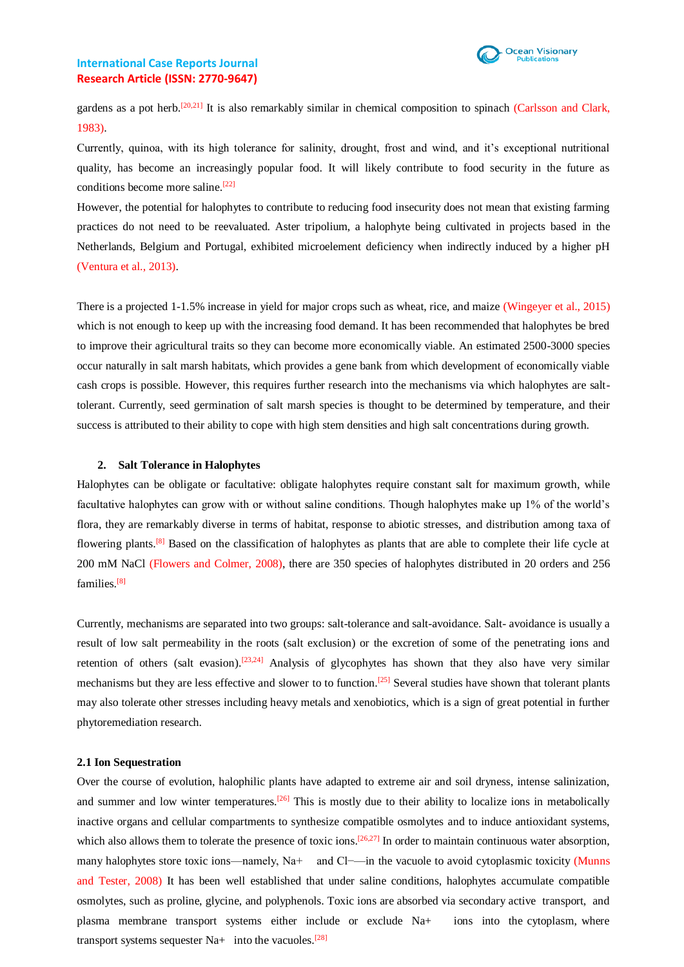

gardens as a pot herb.<sup>[20,21]</sup> It is also remarkably similar in chemical composition to spinach (Carlsson and Clark, 1983).

Currently, quinoa, with its high tolerance for salinity, drought, frost and wind, and it's exceptional nutritional quality, has become an increasingly popular food. It will likely contribute to food security in the future as conditions become more saline. [22]

However, the potential for halophytes to contribute to reducing food insecurity does not mean that existing farming practices do not need to be reevaluated. Aster tripolium, a halophyte being cultivated in projects based in the Netherlands, Belgium and Portugal, exhibited microelement deficiency when indirectly induced by a higher pH (Ventura et al., 2013).

There is a projected 1-1.5% increase in yield for major crops such as wheat, rice, and maize (Wingeyer et al., 2015) which is not enough to keep up with the increasing food demand. It has been recommended that halophytes be bred to improve their agricultural traits so they can become more economically viable. An estimated 2500-3000 species occur naturally in salt marsh habitats, which provides a gene bank from which development of economically viable cash crops is possible. However, this requires further research into the mechanisms via which halophytes are salttolerant. Currently, seed germination of salt marsh species is thought to be determined by temperature, and their success is attributed to their ability to cope with high stem densities and high salt concentrations during growth.

## **2. Salt Tolerance in Halophytes**

Halophytes can be obligate or facultative: obligate halophytes require constant salt for maximum growth, while facultative halophytes can grow with or without saline conditions. Though halophytes make up 1% of the world's flora, they are remarkably diverse in terms of habitat, response to abiotic stresses, and distribution among taxa of flowering plants.<sup>[8]</sup> Based on the classification of halophytes as plants that are able to complete their life cycle at 200 mM NaCl (Flowers and Colmer, 2008), there are 350 species of halophytes distributed in 20 orders and 256 families.<sup>[8]</sup>

Currently, mechanisms are separated into two groups: salt-tolerance and salt-avoidance. Salt- avoidance is usually a result of low salt permeability in the roots (salt exclusion) or the excretion of some of the penetrating ions and retention of others (salt evasion).<sup>[23,24]</sup> Analysis of glycophytes has shown that they also have very similar mechanisms but they are less effective and slower to to function.<sup>[25]</sup> Several studies have shown that tolerant plants may also tolerate other stresses including heavy metals and xenobiotics, which is a sign of great potential in further phytoremediation research.

#### **2.1 Ion Sequestration**

Over the course of evolution, halophilic plants have adapted to extreme air and soil dryness, intense salinization, and summer and low winter temperatures.  $\frac{[26]}{]}$  This is mostly due to their ability to localize ions in metabolically inactive organs and cellular compartments to synthesize compatible osmolytes and to induce antioxidant systems, which also allows them to tolerate the presence of toxic ions.<sup>[26,27]</sup> In order to maintain continuous water absorption, many halophytes store toxic ions—namely, Na+ and Cl−—in the vacuole to avoid cytoplasmic toxicity (Munns and Tester, 2008) It has been well established that under saline conditions, halophytes accumulate compatible osmolytes, such as proline, glycine, and polyphenols. Toxic ions are absorbed via secondary active transport, and plasma membrane transport systems either include or exclude Na+ ions into the cytoplasm, where transport systems sequester  $Na+$  into the vacuoles.<sup>[28]</sup>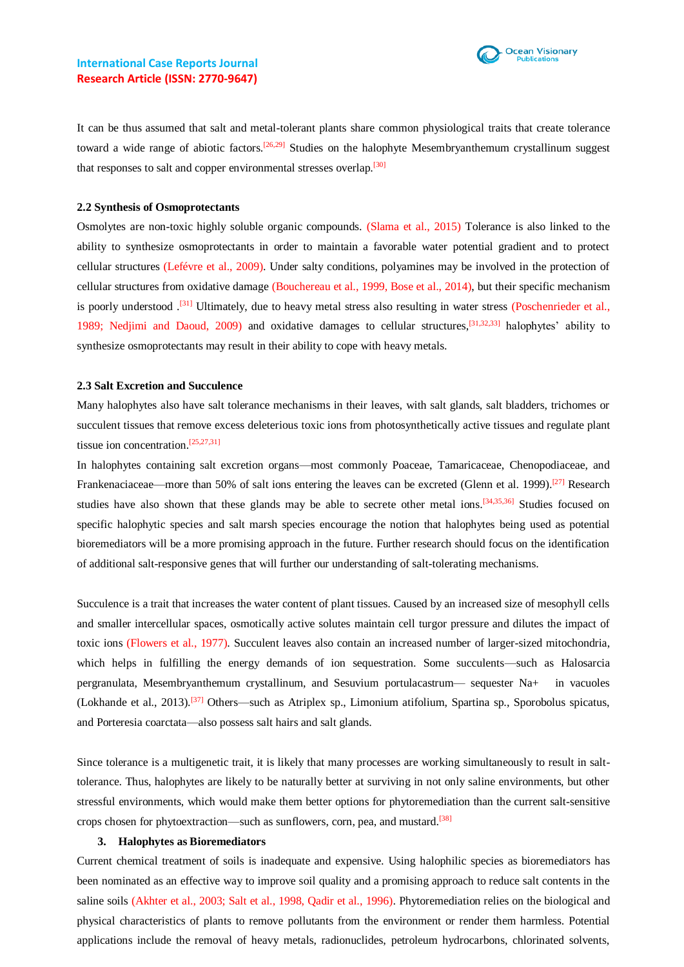

It can be thus assumed that salt and metal-tolerant plants share common physiological traits that create tolerance toward a wide range of abiotic factors.<sup>[26,29]</sup> Studies on the halophyte Mesembryanthemum crystallinum suggest that responses to salt and copper environmental stresses overlap.<sup>[30]</sup>

## **2.2 Synthesis of Osmoprotectants**

Osmolytes are non-toxic highly soluble organic compounds. (Slama et al., 2015) Tolerance is also linked to the ability to synthesize osmoprotectants in order to maintain a favorable water potential gradient and to protect cellular structures (Lefévre et al., 2009). Under salty conditions, polyamines may be involved in the protection of cellular structures from oxidative damage (Bouchereau et al., 1999, Bose et al., 2014), but their specific mechanism is poorly understood .<sup>[31]</sup> Ultimately, due to heavy metal stress also resulting in water stress (Poschenrieder et al., 1989; Nedjimi and Daoud, 2009) and oxidative damages to cellular structures, <sup>[31,32,33]</sup> halophytes' ability to synthesize osmoprotectants may result in their ability to cope with heavy metals.

#### **2.3 Salt Excretion and Succulence**

Many halophytes also have salt tolerance mechanisms in their leaves, with salt glands, salt bladders, trichomes or succulent tissues that remove excess deleterious toxic ions from photosynthetically active tissues and regulate plant tissue ion concentration.<sup>[25,27,31]</sup>

In halophytes containing salt excretion organs—most commonly Poaceae, Tamaricaceae, Chenopodiaceae, and Frankenaciaceae—more than 50% of salt ions entering the leaves can be excreted (Glenn et al. 1999).<sup>[27]</sup> Research studies have also shown that these glands may be able to secrete other metal ions.<sup>[34,35,36]</sup> Studies focused on specific halophytic species and salt marsh species encourage the notion that halophytes being used as potential bioremediators will be a more promising approach in the future. Further research should focus on the identification of additional salt-responsive genes that will further our understanding of salt-tolerating mechanisms.

Succulence is a trait that increases the water content of plant tissues. Caused by an increased size of mesophyll cells and smaller intercellular spaces, osmotically active solutes maintain cell turgor pressure and dilutes the impact of toxic ions (Flowers et al., 1977). Succulent leaves also contain an increased number of larger-sized mitochondria, which helps in fulfilling the energy demands of ion sequestration. Some succulents—such as Halosarcia pergranulata, Mesembryanthemum crystallinum, and Sesuvium portulacastrum— sequester Na+ in vacuoles (Lokhande et al., 2013).[37] Others—such as Atriplex sp., Limonium atifolium, Spartina sp., Sporobolus spicatus, and Porteresia coarctata—also possess salt hairs and salt glands.

Since tolerance is a multigenetic trait, it is likely that many processes are working simultaneously to result in salttolerance. Thus, halophytes are likely to be naturally better at surviving in not only saline environments, but other stressful environments, which would make them better options for phytoremediation than the current salt-sensitive crops chosen for phytoextraction—such as sunflowers, corn, pea, and mustard.<sup>[38]</sup>

#### **3. Halophytes as Bioremediators**

Current chemical treatment of soils is inadequate and expensive. Using halophilic species as bioremediators has been nominated as an effective way to improve soil quality and a promising approach to reduce salt contents in the saline soils (Akhter et al., 2003; Salt et al., 1998, Qadir et al., 1996). Phytoremediation relies on the biological and physical characteristics of plants to remove pollutants from the environment or render them harmless. Potential applications include the removal of heavy metals, radionuclides, petroleum hydrocarbons, chlorinated solvents,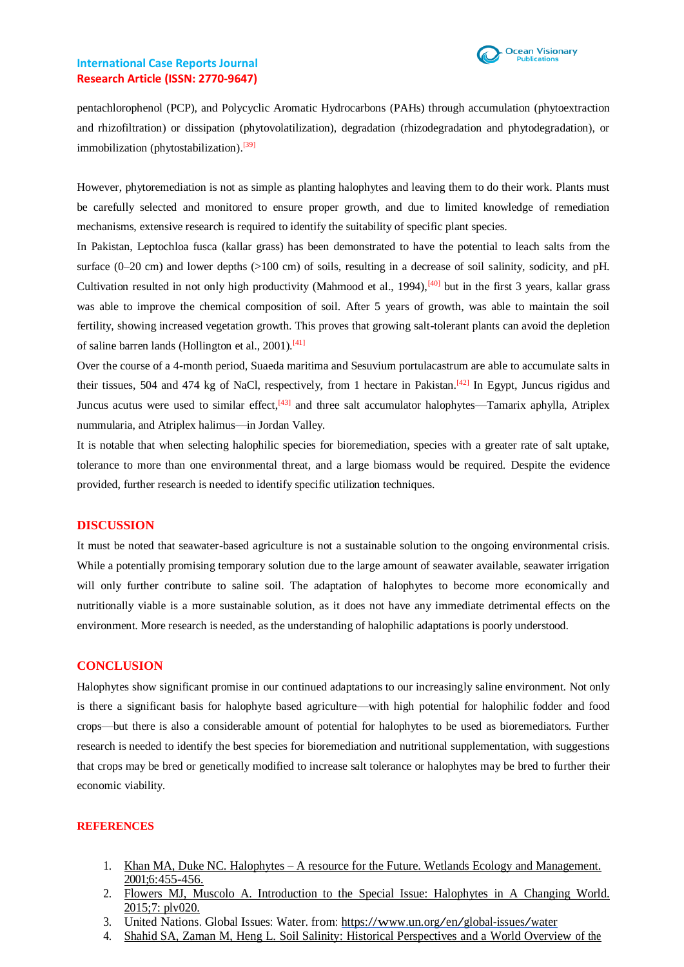

pentachlorophenol (PCP), and Polycyclic Aromatic Hydrocarbons (PAHs) through accumulation (phytoextraction and rhizofiltration) or dissipation (phytovolatilization), degradation (rhizodegradation and phytodegradation), or immobilization (phytostabilization).<sup>[39]</sup>

However, phytoremediation is not as simple as planting halophytes and leaving them to do their work. Plants must be carefully selected and monitored to ensure proper growth, and due to limited knowledge of remediation mechanisms, extensive research is required to identify the suitability of specific plant species.

In Pakistan, Leptochloa fusca (kallar grass) has been demonstrated to have the potential to leach salts from the surface (0–20 cm) and lower depths (>100 cm) of soils, resulting in a decrease of soil salinity, sodicity, and pH. Cultivation resulted in not only high productivity (Mahmood et al., 1994),<sup>[40]</sup> but in the first 3 years, kallar grass was able to improve the chemical composition of soil. After 5 years of growth, was able to maintain the soil fertility, showing increased vegetation growth. This proves that growing salt-tolerant plants can avoid the depletion of saline barren lands (Hollington et al., 2001).<sup>[41]</sup>

Over the course of a 4-month period, Suaeda maritima and Sesuvium portulacastrum are able to accumulate salts in their tissues, 504 and 474 kg of NaCl, respectively, from 1 hectare in Pakistan.<sup>[42]</sup> In Egypt, Juncus rigidus and Juncus acutus were used to similar effect,  $\left[43\right]$  and three salt accumulator halophytes—Tamarix aphylla, Atriplex nummularia, and Atriplex halimus—in Jordan Valley.

It is notable that when selecting halophilic species for bioremediation, species with a greater rate of salt uptake, tolerance to more than one environmental threat, and a large biomass would be required. Despite the evidence provided, further research is needed to identify specific utilization techniques.

## **DISCUSSION**

It must be noted that seawater-based agriculture is not a sustainable solution to the ongoing environmental crisis. While a potentially promising temporary solution due to the large amount of seawater available, seawater irrigation will only further contribute to saline soil. The adaptation of halophytes to become more economically and nutritionally viable is a more sustainable solution, as it does not have any immediate detrimental effects on the environment. More research is needed, as the understanding of halophilic adaptations is poorly understood.

## **CONCLUSION**

Halophytes show significant promise in our continued adaptations to our increasingly saline environment. Not only is there a significant basis for halophyte based agriculture—with high potential for halophilic fodder and food crops—but there is also a considerable amount of potential for halophytes to be used as bioremediators. Further research is needed to identify the best species for bioremediation and nutritional supplementation, with suggestions that crops may be bred or genetically modified to increase salt tolerance or halophytes may be bred to further their economic viability.

### **REFERENCES**

- 1. Khan MA, Duke NC. Halophytes A resource for the Future. Wetlands Ecology and [Management.](https://www.halophyte.org/pdfs/drkhan_pdfs/87.pdf) [2001;6:455-456.](https://www.halophyte.org/pdfs/drkhan_pdfs/87.pdf)
- 2. Flowers MJ, Muscolo A. [Introduction](https://www.ncbi.nlm.nih.gov/pmc/articles/PMC4422832/) to the Special Issue: Halophytes in A Changing World. [2015;7: plv020.](https://www.ncbi.nlm.nih.gov/pmc/articles/PMC4422832/)
- 3. United Nations. Global Issues: Water. from: https[://www.un.org/en/global-issues/water](http://www.un.org/en/global-issues/water)
- 4. Shahid SA, Zaman M, Heng L. Soil Salinity: Historical [Perspectives](https://link.springer.com/chapter/10.1007/978-3-319-96190-3_2) and a World Overview of the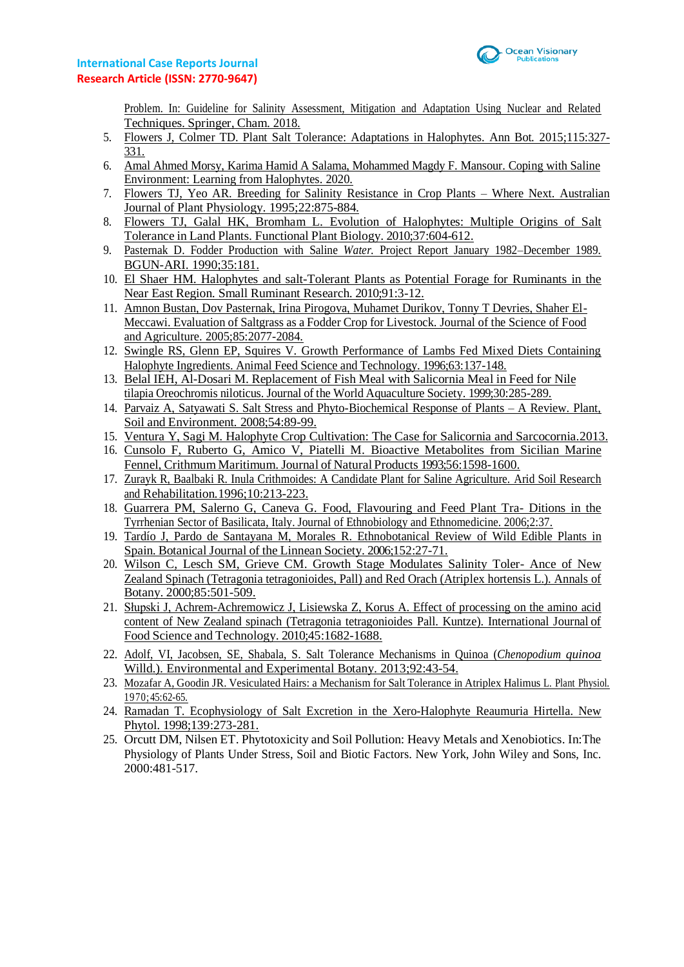

[Problem. In: Guideline for Salinity Assessment, Mitigation and Adaptation Using Nuclear and Related](https://link.springer.com/chapter/10.1007/978-3-319-96190-3_2) [Techniques.](https://link.springer.com/chapter/10.1007/978-3-319-96190-3_2) Springer*,* Cham. 2018.

- 5. [Flowers J, Colmer TD. Plant Salt](https://pubmed.ncbi.nlm.nih.gov/25844430/) Tolerance: Adaptations in Halophytes. Ann Bot*.* 2015;115:327- [331.](https://pubmed.ncbi.nlm.nih.gov/25844430/)
- 6. Amal Ahmed Morsy, Karima Hamid A Salama, [Mohammed Magdy F. Mansour.](https://link.springer.com/chapter/10.1007/978-981-15-2156-0_7) Coping with Saline Environment: Learning from [Halophytes. 2020.](https://link.springer.com/chapter/10.1007/978-981-15-2156-0_7)
- 7. [Flowers TJ, Yeo AR. Breeding for Salinity Resistance in Crop Plants –](https://www.publish.csiro.au/FP/PP9950875) Where Next. Australian Journal of Plant [Physiology. 1995;22:875-884.](https://www.publish.csiro.au/FP/PP9950875)
- 8. Flowers TJ, Galal [HK, Bromham L. Evolution of Halophytes: Multiple Origins of Salt](https://www.publish.csiro.au/fp/fp09269) Tolerance in Land Plants. Functional Plant Biology. [2010;37:604-612.](https://www.publish.csiro.au/fp/fp09269)
- 9. Pasternak D. Fodder Production with Saline *Water.* [Project Report January 1982–December 1989.](https://www.cabdirect.org/cabdirect/abstract/19916776023) [BGUN-ARI. 1990;35:181.](https://www.cabdirect.org/cabdirect/abstract/19916776023)
- 10. El Shaer HM. Halophytes and [salt-Tolerant](https://coek.info/pdf-halophytes-and-salt-tolerant-plants-as-potential-forage-for-ruminants-in-the-nea.html) Plants as Potential Forage for Ruminants in the Near East Region. Small Ruminant Research. [2010;91:3-12.](https://coek.info/pdf-halophytes-and-salt-tolerant-plants-as-potential-forage-for-ruminants-in-the-nea.html)
- 11. Amnon Bustan, Dov [Pasternak, Irina Pirogova, Muhamet Durikov, Tonny T Devries, Shaher El-](http://lib3.dss.go.th/fulltext/Journal/J.Sci.Food%20and%20Agri/2005v85/no.12/2005v85no12p2077-2084.pdf)Meccawi. Evaluation of Saltgrass as a Fodder Crop for Livestock. [Journal of the Science of Food](http://lib3.dss.go.th/fulltext/Journal/J.Sci.Food%20and%20Agri/2005v85/no.12/2005v85no12p2077-2084.pdf)  [and Agriculture. 2005;85:2077-2084.](http://lib3.dss.go.th/fulltext/Journal/J.Sci.Food%20and%20Agri/2005v85/no.12/2005v85no12p2077-2084.pdf)
- 12. Swingle [RS, Glenn EP, Squires V. Growth Performance of Lambs Fed Mixed Diets Containing](https://www.sciencedirect.com/science/article/abs/pii/S0377840196010188) Halophyte Ingredients. Animal Feed Science and Technology. [1996;63:137-148.](https://www.sciencedirect.com/science/article/abs/pii/S0377840196010188)
- 13. Belal IEH, Al-Dosari M. [Replacement](https://onlinelibrary.wiley.com/doi/10.1111/j.1749-7345.1999.tb00877.x) of Fish Meal with Salicornia Meal in Feed for Nile tilapia Oreochromis niloticus. Journal of the World Aquaculture Society. [1999;30:285-289.](https://onlinelibrary.wiley.com/doi/10.1111/j.1749-7345.1999.tb00877.x)
- 14. Parvaiz A, Satyawati S. Salt Stress and [Phyto-Biochemical](https://www.agriculturejournals.cz/publicFiles/01024.pdf) Response of Plants A Review. Plant*,* Soil and Environment*.* [2008;54:89-99.](https://www.agriculturejournals.cz/publicFiles/01024.pdf)
- 15. Ventura Y, Sagi M. Halophyte Crop Cultivation: [The Case for Salicornia and Sarcocornia.2013.](https://www.researchgate.net/publication/252321242_Halophyte_crop_cultivation_The_case_for_Salicornia_and_Sarcocornia)
- 16. [Cunsolo F, Ruberto G, Amico V, Piatelli M. Bioactive Metabolites](https://pubs.acs.org/doi/abs/10.1021/np50099a022) from Sicilian Marine Fennel, Crithmum Maritimum. Journal of Natural Products [1993;56:1598-1600.](https://pubs.acs.org/doi/abs/10.1021/np50099a022)
- 17. Zurayk R, Baalbaki [R. Inula Crithmoides: A Candidate Plant for Saline Agriculture. Arid Soil Research](https://www.researchgate.net/publication/248986685_Inula_crithmoides_A_candidate_plant_for_saline_agriculture)  and Rehabilitation*.*[1996;10:213-223.](https://www.researchgate.net/publication/248986685_Inula_crithmoides_A_candidate_plant_for_saline_agriculture)
- 18. [Guarrera PM, Salerno G, Caneva G.](https://ethnobiomed.biomedcentral.com/articles/10.1186/1746-4269-2-37) Food, Flavouring and Feed Plant Tra- Ditions in the Tyrrhenian Sector of Basilicata, Italy. Journal of Ethnobiology and [Ethnomedicine.](https://ethnobiomed.biomedcentral.com/articles/10.1186/1746-4269-2-37) 2006;2:37.
- 19. Tardío J, Pardo [de Santayana M, Morales R. Ethnobotanical Review](https://onlinelibrary.wiley.com/doi/abs/10.1111/j.1095-8339.2006.00549.x) of Wild Edible Plants in Spain. Botanical Journal of the Linnean Society. [2006;152:27-71.](https://onlinelibrary.wiley.com/doi/abs/10.1111/j.1095-8339.2006.00549.x)
- 20. [Wilson C, Lesch SM, Grieve CM. Growth Stage Modulates Salinity Toler-](https://www.sciencedirect.com/science/article/abs/pii/S0305736499910867) Ance of New [Zealand Spinach \(Tetragonia tetragonioides, Pall\) and Red Orach \(Atriplex hortensis L.\). Annals of](https://www.sciencedirect.com/science/article/abs/pii/S0305736499910867) [Botany. 2000;85:501-509.](https://www.sciencedirect.com/science/article/abs/pii/S0305736499910867)
- 21. Słupski J, [Achrem-Achremowicz](https://www.researchgate.net/publication/227783823_Effect_of_processing_on_the_amino_acid_content_of_New_Zealand_spinach_Tetragonia_tetragonioides_Pall_Kuntze) J, Lisiewska Z, Korus A. Effect of processing on the amino acid content of New Zealand spinach (Tetragonia [tetragonioides](https://www.researchgate.net/publication/227783823_Effect_of_processing_on_the_amino_acid_content_of_New_Zealand_spinach_Tetragonia_tetragonioides_Pall_Kuntze) Pall. Kuntze). International Journal of Food Science and Technology. [2010;45:1682-1688.](https://www.researchgate.net/publication/227783823_Effect_of_processing_on_the_amino_acid_content_of_New_Zealand_spinach_Tetragonia_tetragonioides_Pall_Kuntze)
- 22. [Adolf, VI, Jacobsen, SE, Shabala, S. Salt Tolerance Mechanisms in Quinoa \(](https://www.sciencedirect.com/science/article/abs/pii/S0098847212001554)*Chenopodium quinoa* Willd.). Environmental and Experimental Botany. [2013;92:43-54.](https://www.sciencedirect.com/science/article/abs/pii/S0098847212001554)
- 23. Mozafar A, Goodin JR. [Vesiculated](https://www.ncbi.nlm.nih.gov/pmc/articles/PMC396355/) Hairs: a Mechanism for Salt Tolerance in Atriplex Halimus L. Plant Physiol*.* 1970; [45:62-65.](https://www.ncbi.nlm.nih.gov/pmc/articles/PMC396355/)
- 24. [Ramadan T. Ecophysiology of Salt Excretion in the Xero-Halophyte Reaumuria Hirtella. New](https://www.jstor.org/stable/2588296) Phytol. [1998;139:273-281.](https://www.jstor.org/stable/2588296)
- 25. Orcutt DM, Nilsen ET. Phytotoxicity and Soil Pollution: Heavy Metals and Xenobiotics. In:The Physiology of Plants Under Stress, Soil and Biotic Factors. New York, John Wiley and Sons, Inc. 2000:481-517.